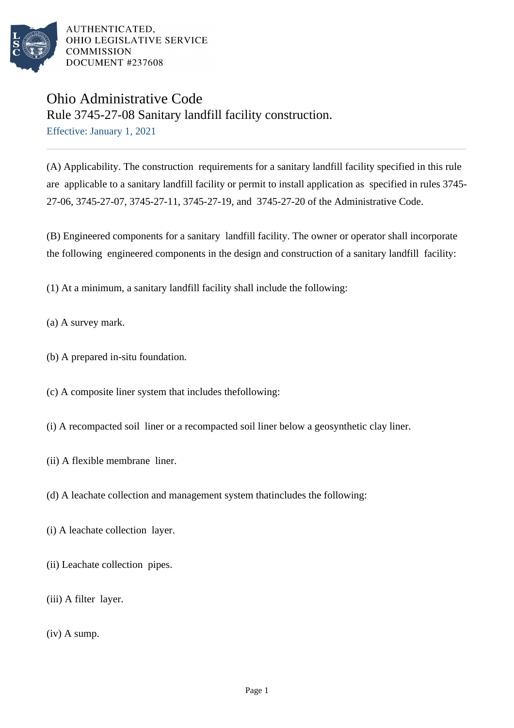

# Ohio Administrative Code Rule 3745-27-08 Sanitary landfill facility construction.

Effective: January 1, 2021

(A) Applicability. The construction requirements for a sanitary landfill facility specified in this rule are applicable to a sanitary landfill facility or permit to install application as specified in rules 3745- 27-06, 3745-27-07, 3745-27-11, 3745-27-19, and 3745-27-20 of the Administrative Code.

(B) Engineered components for a sanitary landfill facility. The owner or operator shall incorporate the following engineered components in the design and construction of a sanitary landfill facility:

(1) At a minimum, a sanitary landfill facility shall include the following:

- (a) A survey mark.
- (b) A prepared in-situ foundation.
- (c) A composite liner system that includes the following:
- (i) A recompacted soil liner or a recompacted soil liner below a geosynthetic clay liner.
- (ii) A flexible membrane liner.
- (d) A leachate collection and management system that includes the following:
- (i) A leachate collection layer.
- (ii) Leachate collection pipes.
- $(iii)$  A filter layer.
- (iv) A sump.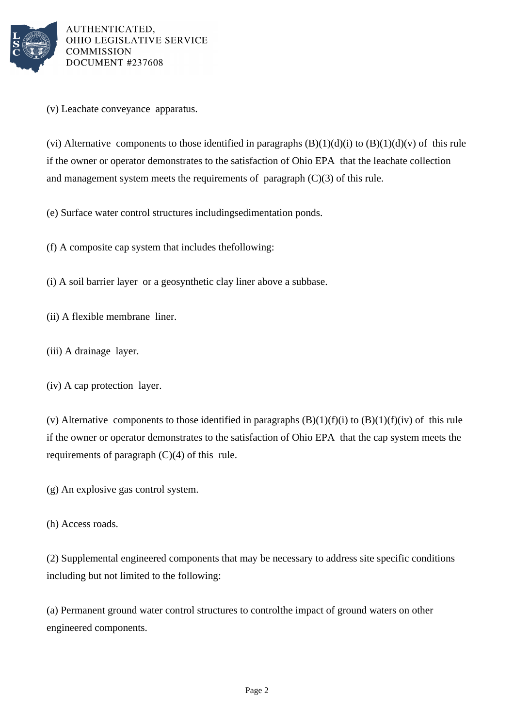

(v) Leachate conveyance apparatus.

(vi) Alternative components to those identified in paragraphs  $(B)(1)(d)(i)$  to  $(B)(1)(d)(v)$  of this rule if the owner or operator demonstrates to the satisfaction of Ohio EPA that the leachate collection and management system meets the requirements of paragraph  $(C)(3)$  of this rule.

(e) Surface water control structures including sedimentation ponds.

 $(f)$  A composite cap system that includes the following:

(i) A soil barrier layer or a geosynthetic clay liner above a subbase.

- (ii) A flexible membrane liner.
- (iii) A drainage layer.
- $(iv)$  A cap protection layer.

(v) Alternative components to those identified in paragraphs  $(B)(1)(f)(i)$  to  $(B)(1)(f)(iv)$  of this rule if the owner or operator demonstrates to the satisfaction of Ohio EPA that the cap system meets the requirements of paragraph  $(C)(4)$  of this rule.

(g) An explosive gas control system.

(h) Access roads.

(2) Supplemental engineered components that may be necessary to address site specific conditions including but not limited to the following:

(a) Permanent ground water control structures to control the impact of ground waters on other engineered components.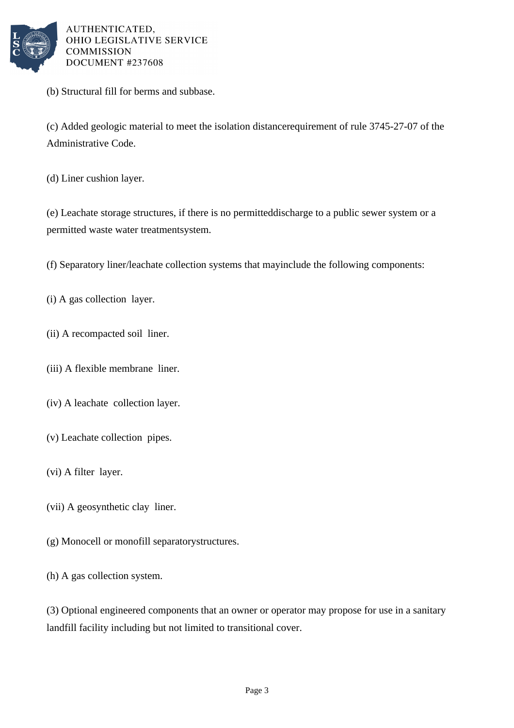

(b) Structural fill for berms and subbase.

(c) Added geologic material to meet the isolation distance requirement of rule 3745-27-07 of the Administrative Code.

(d) Liner cushion layer.

(e) Leachate storage structures, if there is no permitted discharge to a public sewer system or a permitted waste water treatment system.

(f) Separatory liner/leachate collection systems that may include the following components:

- $(i)$  A gas collection layer.
- (ii) A recompacted soil liner.
- (iii) A flexible membrane liner.
- (iv) A leachate collection layer.
- (v) Leachate collection pipes.
- $(vi)$  A filter layer.
- (vii) A geosynthetic clay liner.
- (g) Monocell or monofill separatory structures.
- (h) A gas collection system.

(3) Optional engineered components that an owner or operator may propose for use in a sanitary landfill facility including but not limited to transitional cover.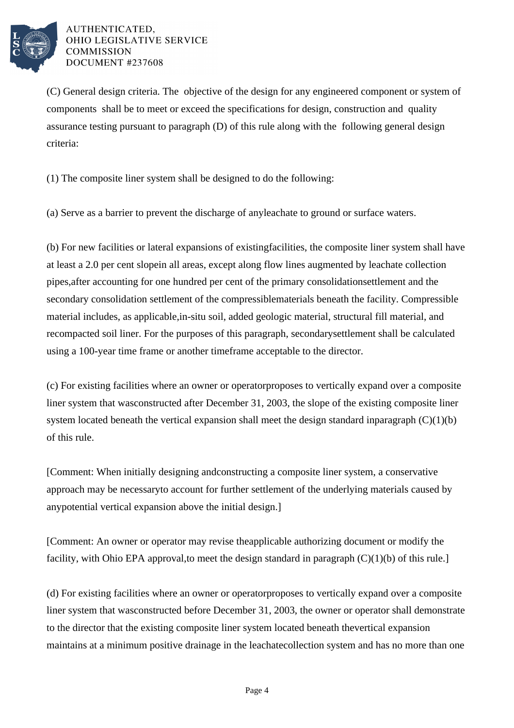

(C) General design criteria. The objective of the design for any engineered component or system of components shall be to meet or exceed the specifications for design, construction and quality assurance testing pursuant to paragraph (D) of this rule along with the following general design criteria:

 $(1)$  The composite liner system shall be designed to do the following:

(a) Serve as a barrier to prevent the discharge of any leachate to ground or surface waters.

(b) For new facilities or lateral expansions of existing facilities, the composite liner system shall have at least a 2.0 per cent slope in all areas, except along flow lines augmented by leachate collection pipes, after accounting for one hundred per cent of the primary consolidation settlement and the secondary consolidation settlement of the compressible materials beneath the facility. Compressible material includes, as applicable, in-situ soil, added geologic material, structural fill material, and recompacted soil liner. For the purposes of this paragraph, secondary settlement shall be calculated using a 100-year time frame or another time frame acceptable to the director.

(c) For existing facilities where an owner or operator proposes to vertically expand over a composite liner system that was constructed after December 31, 2003, the slope of the existing composite liner system located beneath the vertical expansion shall meet the design standard in paragraph  $(C)(1)(b)$ of this rule.

[Comment: When initially designing and constructing a composite liner system, a conservative approach may be necessary to account for further settlement of the underlying materials caused by any potential vertical expansion above the initial design.

[Comment: An owner or operator may revise the applicable authorizing document or modify the facility, with Ohio EPA approval, to meet the design standard in paragraph  $(C)(1)(b)$  of this rule.]

(d) For existing facilities where an owner or operator proposes to vertically expand over a composite liner system that was constructed before December 31, 2003, the owner or operator shall demonstrate to the director that the existing composite liner system located beneath the vertical expansion maintains at a minimum positive drainage in the leachate collection system and has no more than one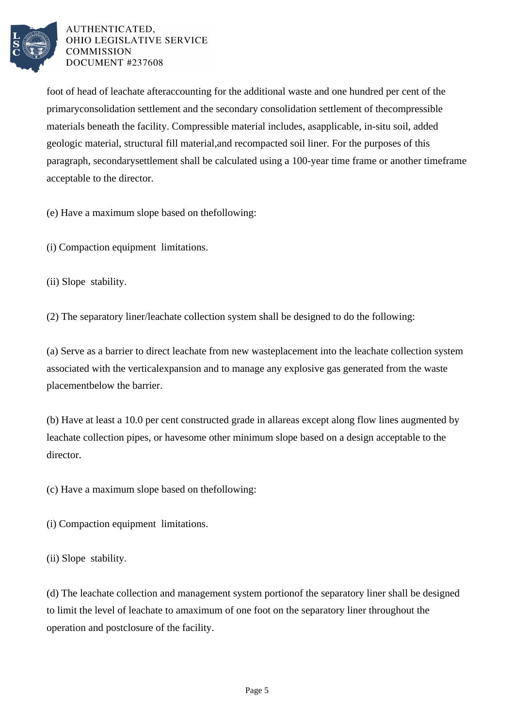

foot of head of leachate after accounting for the additional waste and one hundred per cent of the primary consolidation settlement and the secondary consolidation settlement of the compressible materials beneath the facility. Compressible material includes, as applicable, in-situ soil, added geologic material, structural fill material, and recompacted soil liner. For the purposes of this paragraph, secondary settlement shall be calculated using a 100-year time frame or another time frame acceptable to the director.

(e) Have a maximum slope based on the following:

(i) Compaction equipment limitations.

(ii) Slope stability.

 $(2)$  The separatory liner/leachate collection system shall be designed to do the following:

(a) Serve as a barrier to direct leachate from new waste placement into the leachate collection system associated with the vertical expansion and to manage any explosive gas generated from the waste placement below the barrier.

(b) Have at least a 10.0 per cent constructed grade in all areas except along flow lines augmented by leachate collection pipes, or have some other minimum slope based on a design acceptable to the director.

(c) Have a maximum slope based on the following:

(i) Compaction equipment limitations.

(ii) Slope stability.

(d) The leachate collection and management system portion of the separatory liner shall be designed to limit the level of leachate to a maximum of one foot on the separatory liner throughout the operation and post closure of the facility.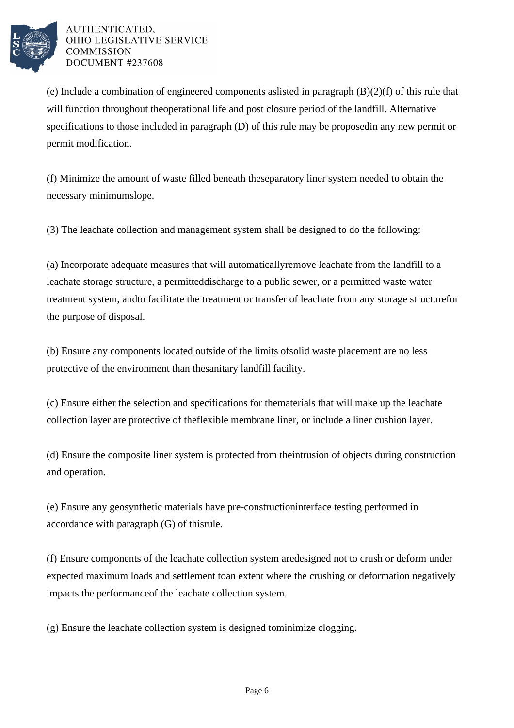

(e) Include a combination of engineered components as listed in paragraph  $(B)(2)(f)$  of this rule that will function throughout the operational life and post closure period of the landfill. Alternative specifications to those included in paragraph  $(D)$  of this rule may be proposed in any new permit or permit modification.

(f) Minimize the amount of waste filled beneath the separatory liner system needed to obtain the necessary minimum slope.

(3) The leachate collection and management system shall be designed to do the following:

(a) Incorporate adequate measures that will automatically remove leachate from the landfill to a leachate storage structure, a permitted discharge to a public sewer, or a permitted waste water treatment system, and to facilitate the treatment or transfer of leachate from any storage structure for the purpose of disposal.

(b) Ensure any components located outside of the limits of solid waste placement are no less protective of the environment than the sanitary landfill facility.

(c) Ensure either the selection and specifications for the materials that will make up the leachate collection layer are protective of the flexible membrane liner, or include a liner cushion layer.

(d) Ensure the composite liner system is protected from the intrusion of objects during construction and operation.

(e) Ensure any geosynthetic materials have pre-construction interface testing performed in accordance with paragraph  $(G)$  of this rule.

(f) Ensure components of the leachate collection system are designed not to crush or deform under expected maximum loads and settlement to an extent where the crushing or deformation negatively impacts the performance of the leachate collection system.

(g) Ensure the leachate collection system is designed to minimize clogging.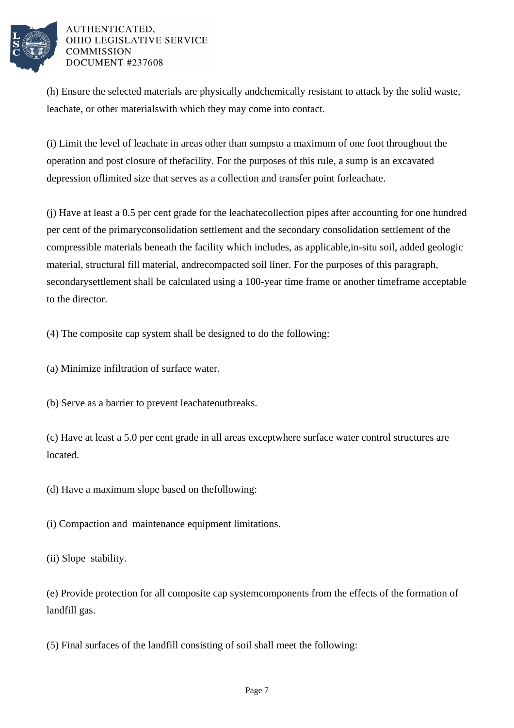

(h) Ensure the selected materials are physically and chemically resistant to attack by the solid waste, leachate, or other materials with which they may come into contact.

(i) Limit the level of leachate in areas other than sumps to a maximum of one foot throughout the operation and post closure of the facility. For the purposes of this rule, a sump is an excavated depression of limited size that serves as a collection and transfer point for leachate.

 $(i)$  Have at least a 0.5 per cent grade for the leachate collection pipes after accounting for one hundred per cent of the primary consolidation settlement and the secondary consolidation settlement of the compressible materials beneath the facility which includes, as applicable, in-situ soil, added geologic material, structural fill material, and recompacted soil liner. For the purposes of this paragraph, secondary settlement shall be calculated using a 100-year time frame or another time frame acceptable to the director.

(4) The composite cap system shall be designed to do the following:

(a) Minimize infiltration of surface water.

(b) Serve as a barrier to prevent leachate outbreaks.

(c) Have at least a 5.0 per cent grade in all areas except where surface water control structures are located.

(d) Have a maximum slope based on the following:

(i) Compaction and maintenance equipment limitations.

(ii) Slope stability.

(e) Provide protection for all composite cap system components from the effects of the formation of landfill gas.

(5) Final surfaces of the landfill consisting of soil shall meet the following: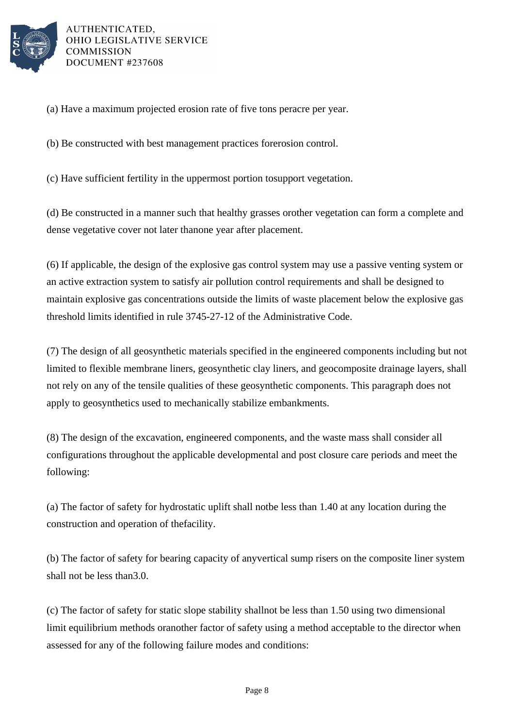

(a) Have a maximum projected erosion rate of five tons per acre per year.

(b) Be constructed with best management practices for erosion control.

(c) Have sufficient fertility in the uppermost portion to support vegetation.

(d) Be constructed in a manner such that healthy grasses or other vegetation can form a complete and dense vegetative cover not later than one year after placement.

(6) If applicable, the design of the explosive gas control system may use a passive venting system or an active extraction system to satisfy air pollution control requirements and shall be designed to maintain explosive gas concentrations outside the limits of waste placement below the explosive gas threshold limits identified in rule 3745-27-12 of the Administrative Code.

(7) The design of all geosynthetic materials specified in the engineered components including but not limited to flexible membrane liners, geosynthetic clay liners, and geocomposite drainage layers, shall not rely on any of the tensile qualities of these geosynthetic components. This paragraph does not apply to geosynthetics used to mechanically stabilize embankments.

(8) The design of the excavation, engineered components, and the waste mass shall consider all configurations throughout the applicable developmental and post closure care periods and meet the following:

(a) The factor of safety for hydrostatic uplift shall not be less than 1.40 at any location during the construction and operation of the facility.

(b) The factor of safety for bearing capacity of any vertical sump risers on the composite liner system shall not be less than 3.0.

 $(c)$  The factor of safety for static slope stability shall not be less than 1.50 using two dimensional limit equilibrium methods or another factor of safety using a method acceptable to the director when assessed for any of the following failure modes and conditions: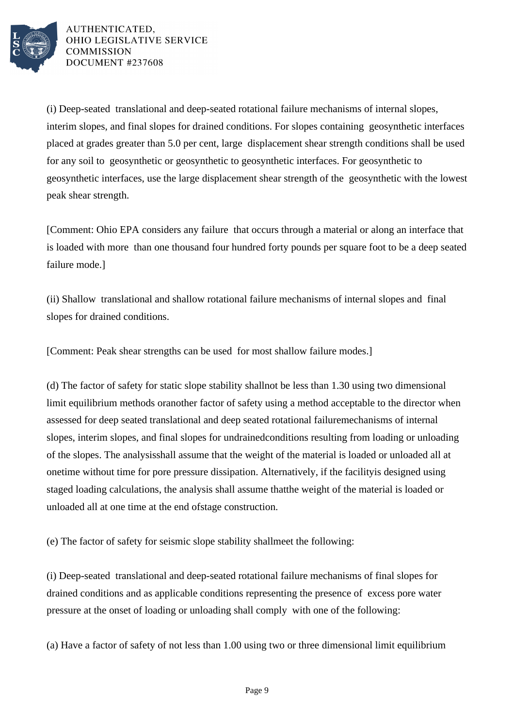

(i) Deep-seated translational and deep-seated rotational failure mechanisms of internal slopes, interim slopes, and final slopes for drained conditions. For slopes containing geosynthetic interfaces placed at grades greater than 5.0 per cent, large displacement shear strength conditions shall be used for any soil to geosynthetic or geosynthetic to geosynthetic interfaces. For geosynthetic to geosynthetic interfaces, use the large displacement shear strength of the geosynthetic with the lowest peak shear strength.

[Comment: Ohio EPA considers any failure that occurs through a material or along an interface that is loaded with more than one thousand four hundred forty pounds per square foot to be a deep seated failure mode.]

(ii) Shallow translational and shallow rotational failure mechanisms of internal slopes and final slopes for drained conditions.

[Comment: Peak shear strengths can be used for most shallow failure modes.]

(d) The factor of safety for static slope stability shall not be less than 1.30 using two dimensional limit equilibrium methods or another factor of safety using a method acceptable to the director when assessed for deep seated translational and deep seated rotational failure mechanisms of internal slopes, interim slopes, and final slopes for undrained conditions resulting from loading or unloading of the slopes. The analysis shall assume that the weight of the material is loaded or unloaded all at one time without time for pore pressure dissipation. Alternatively, if the facility is designed using staged loading calculations, the analysis shall assume that the weight of the material is loaded or unloaded all at one time at the end of stage construction.

(e) The factor of safety for seismic slope stability shall meet the following:

(i) Deep-seated translational and deep-seated rotational failure mechanisms of final slopes for drained conditions and as applicable conditions representing the presence of excess pore water pressure at the onset of loading or unloading shall comply with one of the following:

(a) Have a factor of safety of not less than  $1.00$  using two or three dimensional limit equilibrium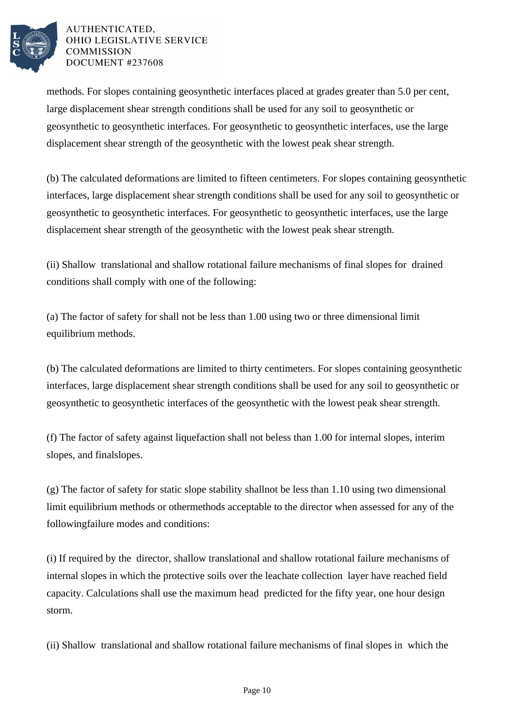

methods. For slopes containing geosynthetic interfaces placed at grades greater than 5.0 per cent, large displacement shear strength conditions shall be used for any soil to geosynthetic or geosynthetic to geosynthetic interfaces. For geosynthetic to geosynthetic interfaces, use the large displacement shear strength of the geosynthetic with the lowest peak shear strength.

(b) The calculated deformations are limited to fifteen centimeters. For slopes containing geosynthetic interfaces, large displacement shear strength conditions shall be used for any soil to geosynthetic or geosynthetic to geosynthetic interfaces. For geosynthetic to geosynthetic interfaces, use the large displacement shear strength of the geosynthetic with the lowest peak shear strength.

(ii) Shallow translational and shallow rotational failure mechanisms of final slopes for drained conditions shall comply with one of the following:

(a) The factor of safety for shall not be less than  $1.00$  using two or three dimensional limit equilibrium methods.

(b) The calculated deformations are limited to thirty centimeters. For slopes containing geosynthetic interfaces, large displacement shear strength conditions shall be used for any soil to geosynthetic or geosynthetic to geosynthetic interfaces of the geosynthetic with the lowest peak shear strength.

(f) The factor of safety against liquefaction shall not be  $\,\$  less than 1.00 for internal slopes, interim slopes, and final slopes.

 $(g)$  The factor of safety for static slope stability shall not be less than 1.10 using two dimensional limit equilibrium methods or other methods acceptable to the director when assessed for any of the following failure modes and conditions:

(i) If required by the director, shallow translational and shallow rotational failure mechanisms of internal slopes in which the protective soils over the leachate collection layer have reached field capacity. Calculations shall use the maximum head predicted for the fifty year, one hour design storm.

(ii) Shallow translational and shallow rotational failure mechanisms of final slopes in which the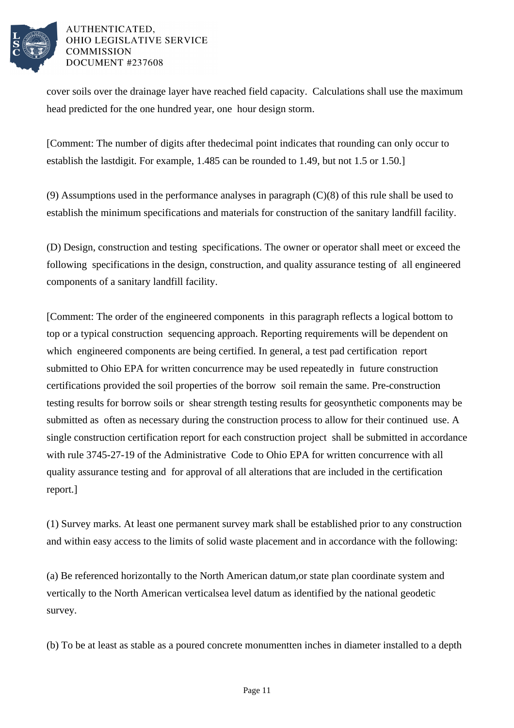

cover soils over the drainage layer have reached field capacity. Calculations shall use the maximum head predicted for the one hundred year, one hour design storm.

[Comment: The number of digits after the decimal point indicates that rounding can only occur to establish the last digit. For example, 1.485 can be rounded to 1.49, but not 1.5 or 1.50.]

(9) Assumptions used in the performance analyses in paragraph  $(C)(8)$  of this rule shall be used to establish the minimum specifications and materials for construction of the sanitary landfill facility.

(D) Design, construction and testing specifications. The owner or operator shall meet or exceed the following specifications in the design, construction, and quality assurance testing of all engineered components of a sanitary landfill facility.

[Comment: The order of the engineered components in this paragraph reflects a logical bottom to top or a typical construction sequencing approach. Reporting requirements will be dependent on which engineered components are being certified. In general, a test pad certification report submitted to Ohio EPA for written concurrence may be used repeatedly in future construction certifications provided the soil properties of the borrow soil remain the same. Pre-construction testing results for borrow soils or shear strength testing results for geosynthetic components may be submitted as often as necessary during the construction process to allow for their continued use. A single construction certification report for each construction project shall be submitted in accordance with rule 3745-27-19 of the Administrative Code to Ohio EPA for written concurrence with all quality assurance testing and for approval of all alterations that are included in the certification report.]

(1) Survey marks. At least one permanent survey mark shall be established prior to any construction and within easy access to the limits of solid waste placement and in accordance with the following:

(a) Be referenced horizontally to the North American datum, or state plan coordinate system and vertically to the North American vertical sea level datum as identified by the national geodetic survey.

(b) To be at least as stable as a poured concrete monument ten inches in diameter installed to a depth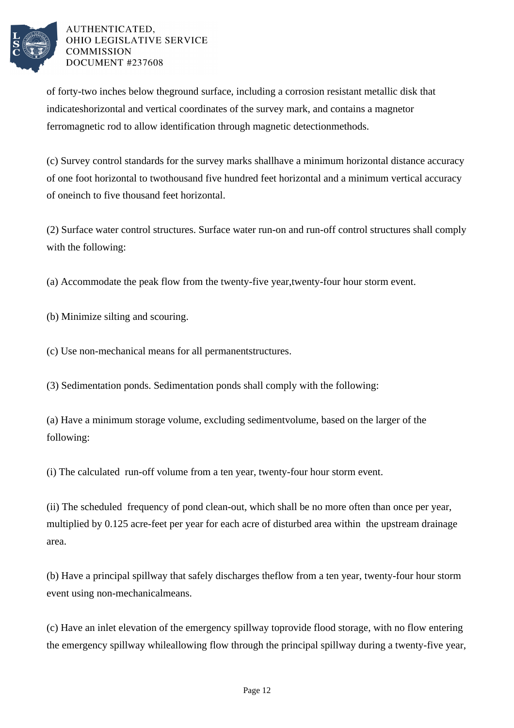

of forty-two inches below the ground surface, including a corrosion resistant metallic disk that indicates horizontal and vertical coordinates of the survey mark, and contains a magnet or ferromagnetic rod to allow identification through magnetic detection methods.

(c) Survey control standards for the survey marks shall have a minimum horizontal distance accuracy of one foot horizontal to two thousand five hundred feet horizontal and a minimum vertical accuracy of one inch to five thousand feet horizontal.

(2) Surface water control structures. Surface water run-on and run-off control structures shall comply with the following:

(a) Accommodate the peak flow from the twenty-five year, twenty-four hour storm event.

(b) Minimize silting and scouring.

(c) Use non-mechanical means for all permanent structures.

(3) Sedimentation ponds. Sedimentation ponds shall comply with the following:

(a) Have a minimum storage volume, excluding sediment volume, based on the larger of the following:

(i) The calculated run-off volume from a ten year, twenty-four hour storm event.

(ii) The scheduled frequency of pond clean-out, which shall be no more often than once per year, multiplied by 0.125 acre-feet per year for each acre of disturbed area within the upstream drainage area.

(b) Have a principal spillway that safely discharges the flow from a ten year, twenty-four hour storm event using non-mechanical means.

(c) Have an inlet elevation of the emergency spillway to provide flood storage, with no flow entering the emergency spillway while allowing flow through the principal spillway during a twenty-five year,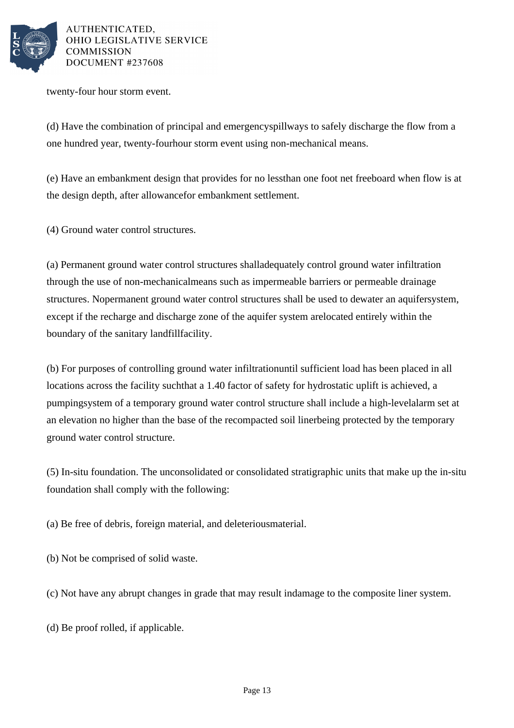

twenty-four hour storm event.

(d) Have the combination of principal and emergency spillways to safely discharge the flow from a one hundred year, twenty-four hour storm event using non-mechanical means.

(e) Have an embankment design that provides for no less than one foot net freeboard when flow is at the design depth, after allowance for embankment settlement.

(4) Ground water control structures.

(a) Permanent ground water control structures shall adequately control ground water infiltration through the use of non-mechanical means such as impermeable barriers or permeable drainage structures. No permanent ground water control structures shall be used to dewater an aquifer system, except if the recharge and discharge zone of the aquifer system are located entirely within the boundary of the sanitary landfill facility.

(b) For purposes of controlling ground water infiltration until sufficient load has been placed in all locations across the facility such that a 1.40 factor of safety for hydrostatic uplift is achieved, a pumping system of a temporary ground water control structure shall include a high-level alarm set at an elevation no higher than the base of the recompacted soil liner being protected by the temporary ground water control structure.

(5) In-situ foundation. The unconsolidated or consolidated stratigraphic units that make up the in-situ foundation shall comply with the following:

(a) Be free of debris, foreign material, and deleterious material.

(b) Not be comprised of solid waste.

(c) Not have any abrupt changes in grade that may result in damage to the composite liner system.

(d) Be proof rolled, if applicable.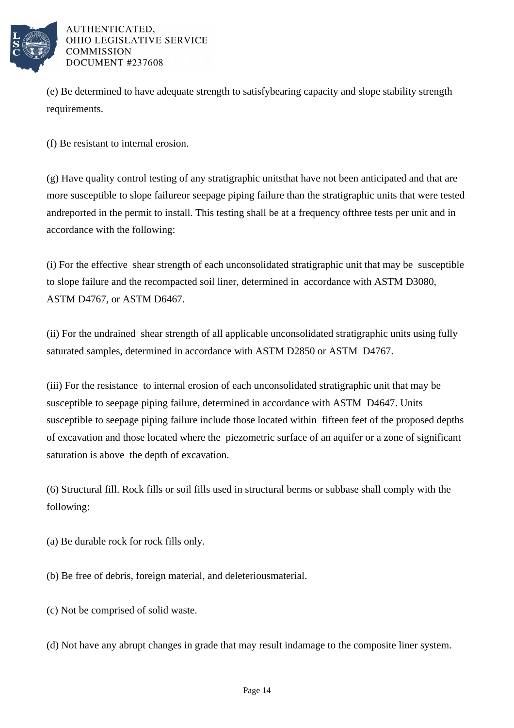

(e) Be determined to have adequate strength to satisfy bearing capacity and slope stability strength requirements.

(f) Be resistant to internal erosion.

(g) Have quality control testing of any stratigraphic units that have not been anticipated and that are more susceptible to slope failure or seepage piping failure than the stratigraphic units that were tested and reported in the permit to install. This testing shall be at a frequency of three tests per unit and in accordance with the following:

(i) For the effective shear strength of each unconsolidated stratigraphic unit that may be susceptible to slope failure and the recompacted soil liner, determined in accordance with ASTM D3080, ASTM D4767, or ASTM D6467.

(ii) For the undrained shear strength of all applicable unconsolidated stratigraphic units using fully saturated samples, determined in accordance with ASTM D2850 or ASTM D4767.

(iii) For the resistance to internal erosion of each unconsolidated stratigraphic unit that may be susceptible to seepage piping failure, determined in accordance with ASTM D4647. Units susceptible to seepage piping failure include those located within fifteen feet of the proposed depths of excavation and those located where the piezometric surface of an aquifer or a zone of significant saturation is above the depth of excavation.

(6) Structural fill. Rock fills or soil fills used in structural berms or subbase shall comply with the following:

- (a) Be durable rock for rock fills only.
- (b) Be free of debris, foreign material, and deleterious material.
- (c) Not be comprised of solid waste.
- (d) Not have any abrupt changes in grade that may result in damage to the composite liner system.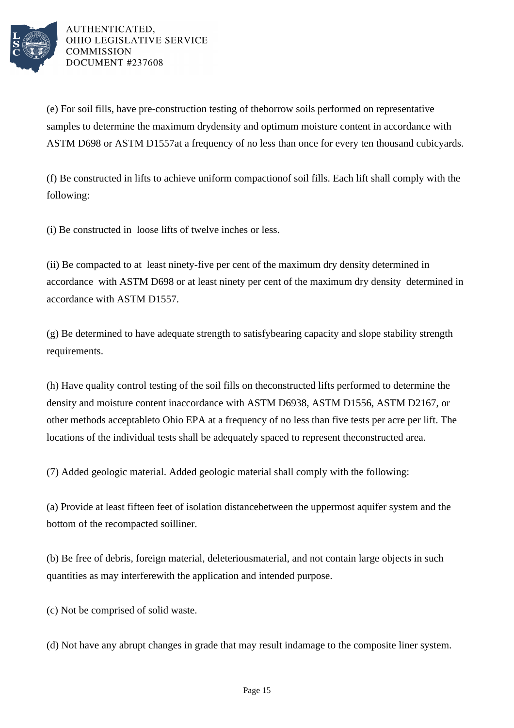

(e) For soil fills, have pre-construction testing of the borrow soils performed on representative samples to determine the maximum dry density and optimum moisture content in accordance with ASTM D698 or ASTM D1557 at a frequency of no less than once for every ten thousand cubic yards.

(f) Be constructed in lifts to achieve uniform compaction of soil fills. Each lift shall comply with the following:

(i) Be constructed in loose lifts of twelve inches or less.

(ii) Be compacted to at least ninety-five per cent of the maximum dry density determined in accordance with ASTM D698 or at least ninety per cent of the maximum dry density determined in accordance with ASTM D1557.

(g) Be determined to have adequate strength to satisfy bearing capacity and slope stability strength requirements.

(h) Have quality control testing of the soil fills on the constructed lifts performed to determine the density and moisture content in accordance with ASTM D6938, ASTM D1556, ASTM D2167, or other methods acceptable to Ohio EPA at a frequency of no less than five tests per acre per lift. The locations of the individual tests shall be adequately spaced to represent the constructed area.

(7) Added geologic material. Added geologic material shall comply with the following:

(a) Provide at least fifteen feet of isolation distance between the uppermost aquifer system and the bottom of the recompacted soil liner.

(b) Be free of debris, foreign material, deleterious material, and not contain large objects in such quantities as may interfere with the application and intended purpose.

(c) Not be comprised of solid waste.

(d) Not have any abrupt changes in grade that may result in damage to the composite liner system.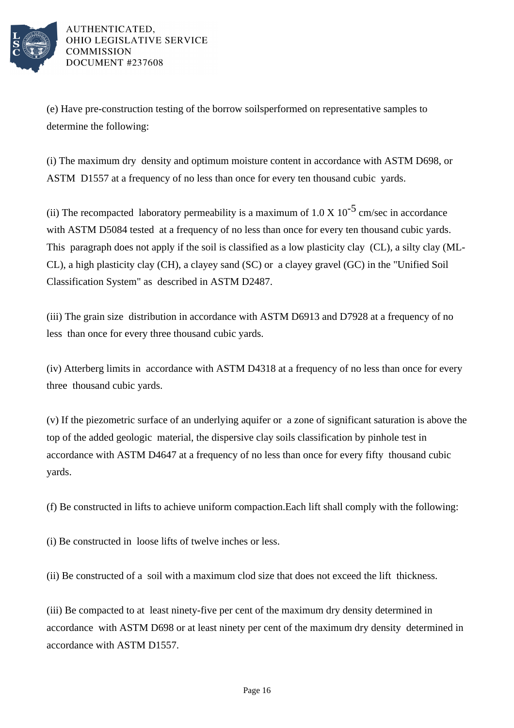

(e) Have pre-construction testing of the borrow soils performed on representative samples to determine the following:

(i) The maximum dry density and optimum moisture content in accordance with ASTM D698, or ASTM D1557 at a frequency of no less than once for every ten thousand cubic yards.

(ii) The recompacted laboratory permeability is a maximum of  $1.0 \times 10^{-5}$  cm/sec in accordance with ASTM D5084 tested at a frequency of no less than once for every ten thousand cubic yards. This paragraph does not apply if the soil is classified as a low plasticity clay  $(CL)$ , a silty clay (ML-CL), a high plasticity clay (CH), a clayey sand (SC) or a clayey gravel (GC) in the "Unified Soil Classification System" as described in ASTM D2487.

(iii) The grain size distribution in accordance with ASTM D6913 and D7928 at a frequency of no less than once for every three thousand cubic yards.

(iv) Atterberg limits in accordance with ASTM D4318 at a frequency of no less than once for every three thousand cubic yards.

(v) If the piezometric surface of an underlying aquifer or a zone of significant saturation is above the top of the added geologic material, the dispersive clay soils classification by pinhole test in accordance with ASTM D4647 at a frequency of no less than once for every fifty thousand cubic yards.

(f) Be constructed in lifts to achieve uniform compaction. Each lift shall comply with the following:

(i) Be constructed in loose lifts of twelve inches or less.

(ii) Be constructed of a soil with a maximum clod size that does not exceed the lift thickness.

(iii) Be compacted to at least ninety-five per cent of the maximum dry density determined in accordance with ASTM D698 or at least ninety per cent of the maximum dry density determined in accordance with ASTM D1557.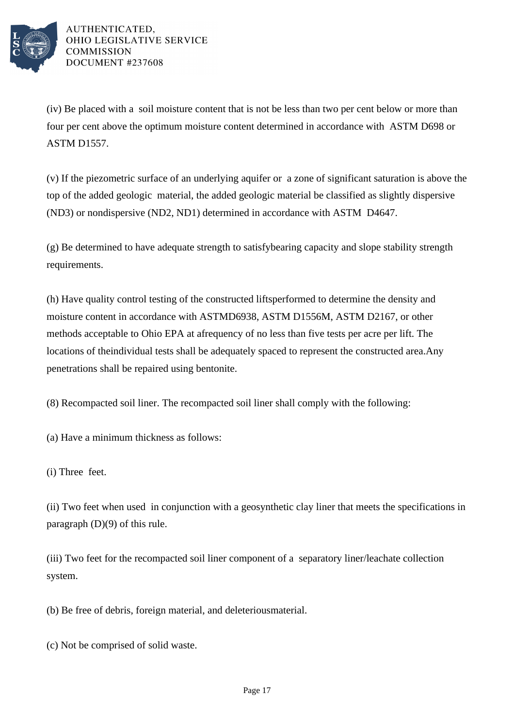

(iv) Be placed with a soil moisture content that is not be less than two per cent below or more than four per cent above the optimum moisture content determined in accordance with ASTM D698 or ASTM D1557.

(v) If the piezometric surface of an underlying aquifer or a zone of significant saturation is above the top of the added geologic material, the added geologic material be classified as slightly dispersive (ND3) or nondispersive (ND2, ND1) determined in accordance with ASTM D4647.

(g) Be determined to have adequate strength to satisfy bearing capacity and slope stability strength requirements.

(h) Have quality control testing of the constructed lifts performed to determine the density and moisture content in accordance with ASTM D6938, ASTM D1556M, ASTM D2167, or other methods acceptable to Ohio EPA at a frequency of no less than five tests per acre per lift. The locations of the individual tests shall be adequately spaced to represent the constructed area. Any penetrations shall be repaired using bentonite.

(8) Recompacted soil liner. The recompacted soil liner shall comply with the following:

(a) Have a minimum thickness as follows:

(i) Three feet.

(ii) Two feet when used in conjunction with a geosynthetic clay liner that meets the specifications in paragraph (D)(9) of this rule.

(iii) Two feet for the recompacted soil liner component of a separatory liner/leachate collection system.

(b) Be free of debris, foreign material, and deleterious material.

(c) Not be comprised of solid waste.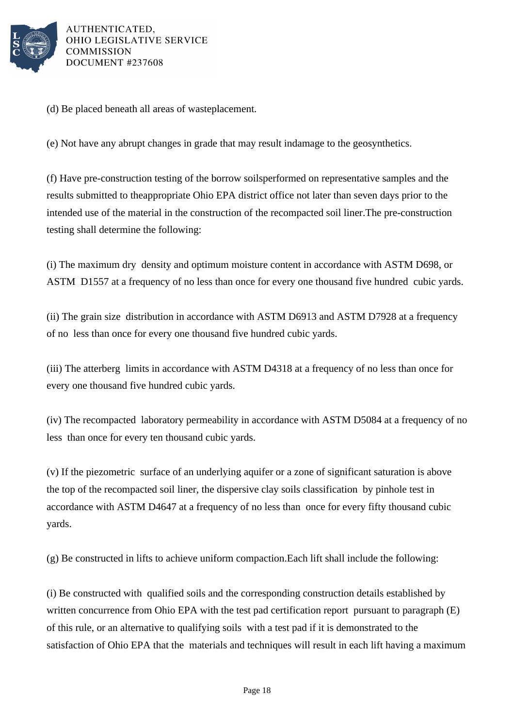

(d) Be placed beneath all areas of waste placement.

(e) Not have any abrupt changes in grade that may result in damage to the geosynthetics.

(f) Have pre-construction testing of the borrow soils performed on representative samples and the results submitted to the appropriate Ohio EPA district office not later than seven days prior to the intended use of the material in the construction of the recompacted soil liner. The pre-construction testing shall determine the following:

(i) The maximum dry density and optimum moisture content in accordance with ASTM D698, or ASTM D1557 at a frequency of no less than once for every one thousand five hundred cubic yards.

(ii) The grain size distribution in accordance with ASTM D6913 and ASTM D7928 at a frequency of no less than once for every one thousand five hundred cubic yards.

(iii) The atterberg limits in accordance with ASTM D4318 at a frequency of no less than once for every one thousand five hundred cubic yards.

(iv) The recompacted laboratory permeability in accordance with ASTM D5084 at a frequency of no less than once for every ten thousand cubic yards.

(v) If the piezometric surface of an underlying aquifer or a zone of significant saturation is above the top of the recompacted soil liner, the dispersive clay soils classification by pinhole test in accordance with ASTM D4647 at a frequency of no less than once for every fifty thousand cubic yards.

 $(g)$  Be constructed in lifts to achieve uniform compaction. Each lift shall include the following:

(i) Be constructed with qualified soils and the corresponding construction details established by written concurrence from Ohio EPA with the test pad certification report pursuant to paragraph  $(E)$ of this rule, or an alternative to qualifying soils with a test pad if it is demonstrated to the satisfaction of Ohio EPA that the materials and techniques will result in each lift having a maximum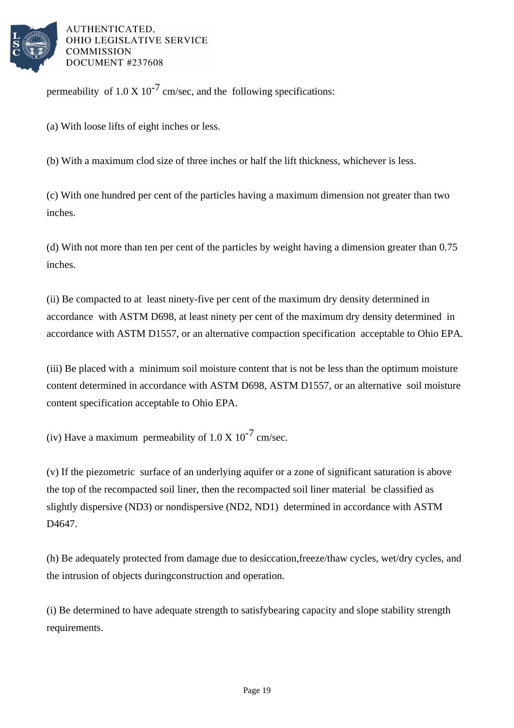

permeability of  $1.0 \times 10^{-7}$  cm/sec, and the following specifications:

(a) With loose lifts of eight inches or less.

(b) With a maximum clod  $\sigma$  size of three inches or half the lift thickness, whichever is less.

(c) With one hundred per cent of the particles having a maximum dimension not greater than two inches.

(d) With not more than ten per cent of the particles by weight having a dimension greater than 0.75 inches.

(ii) Be compacted to at least ninety-five per cent of the maximum dry density determined in accordance with ASTM D698, at least ninety per cent of the maximum dry density determined in accordance with ASTM D1557, or an alternative compaction specification acceptable to Ohio EPA.

(iii) Be placed with a minimum soil moisture content that is not be less than the optimum moisture content determined in accordance with ASTM D698, ASTM D1557, or an alternative soil moisture content specification acceptable to Ohio EPA.

(iv) Have a maximum permeability of  $1.0 \times 10^{-7}$  cm/sec.

(v) If the piezometric surface of an underlying aquifer or a zone of significant saturation is above the top of the recompacted soil liner, then the recompacted soil liner material be classified as slightly dispersive (ND3) or nondispersive (ND2, ND1) determined in accordance with ASTM D<sub>4647</sub>.

(h) Be adequately protected from damage due to desiccation, freeze/thaw cycles, wet/dry cycles, and the intrusion of objects during construction and operation.

(i) Be determined to have adequate strength to satisfy bearing capacity and slope stability strength requirements.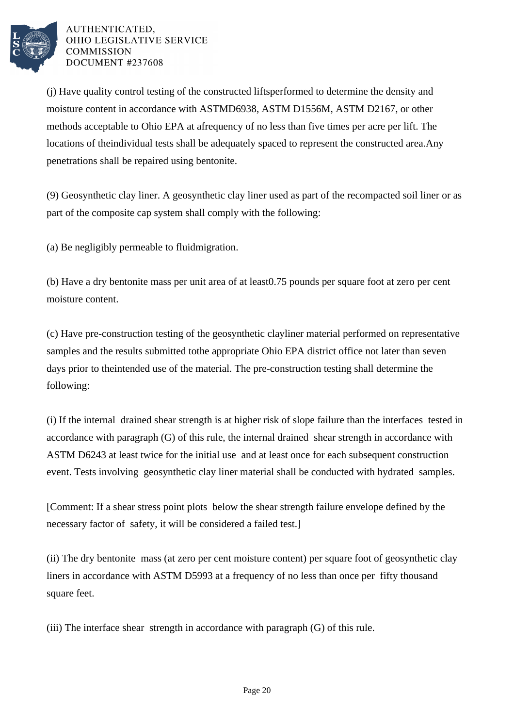

(j) Have quality control testing of the constructed lifts performed to determine the density and moisture content in accordance with ASTM D6938, ASTM D1556M, ASTM D2167, or other methods acceptable to Ohio EPA at a frequency of no less than five times per acre per lift. The locations of the individual tests shall be adequately spaced to represent the constructed area. Any penetrations shall be repaired using bentonite.

(9) Geosynthetic clay liner. A geosynthetic clay liner used as part of the recompacted soil liner or as part of the composite cap system shall comply with the following:

(a) Be negligibly permeable to fluid migration.

(b) Have a dry bentonite mass per unit area of at least 0.75 pounds per square foot at zero per cent moisture content.

(c) Have pre-construction testing of the geosynthetic clay liner material performed on representative samples and the results submitted to the appropriate Ohio EPA district office not later than seven days prior to the intended use of the material. The pre-construction testing shall determine the following:

(i) If the internal drained shear strength is at higher risk of slope failure than the interfaces tested in accordance with paragraph  $(G)$  of this rule, the internal drained shear strength in accordance with ASTM D6243 at least twice for the initial use and at least once for each subsequent construction event. Tests involving geosynthetic clay liner material shall be conducted with hydrated samples.

[Comment: If a shear stress point plots below the shear strength failure envelope defined by the necessary factor of safety, it will be considered a failed test.]

(ii) The dry bentonite mass (at zero per cent moisture content) per square foot of geosynthetic clay liners in accordance with ASTM D5993 at a frequency of no less than once per fifty thousand square feet.

(iii) The interface shear strength in accordance with paragraph  $(G)$  of this rule.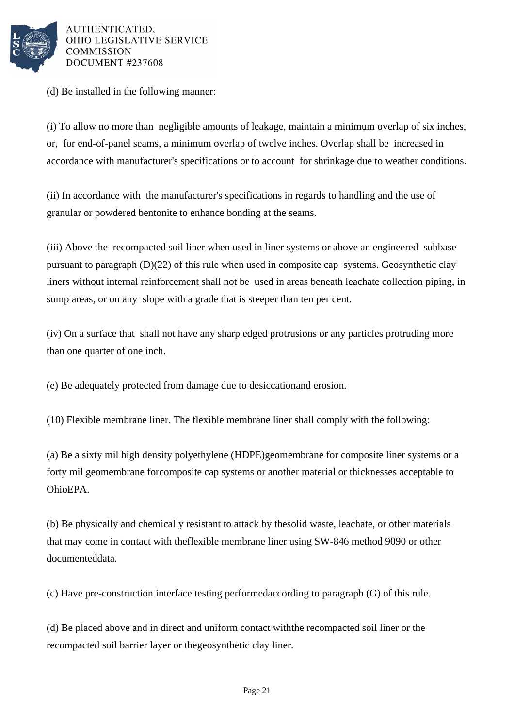

(d) Be installed in the following manner:

(i) To allow no more than negligible amounts of leakage, maintain a minimum overlap of six inches, or, for end-of-panel seams, a minimum overlap of twelve inches. Overlap shall be increased in accordance with manufacturer's specifications or to account for shrinkage due to weather conditions.

(ii) In accordance with the manufacturer's specifications in regards to handling and the use of granular or powdered bentonite to enhance bonding at the seams.

(iii) Above the recompacted soil liner when used in liner systems or above an engineered subbase pursuant to paragraph  $(D)(22)$  of this rule when used in composite cap systems. Geosynthetic clay liners without internal reinforcement shall not be used in areas beneath leachate collection piping, in sump areas, or on any slope with a grade that is steeper than ten per cent.

(iv) On a surface that shall not have any sharp edged protrusions or any particles protruding more than one quarter of one inch.

(e) Be adequately protected from damage due to desiccation and erosion.

 $(10)$  Flexible membrane liner. The flexible membrane liner shall comply with the following:

(a) Be a sixty mil high density polyethylene (HDPE) geomembrane for composite liner systems or a forty mil geomembrane for composite cap systems or another material or thicknesses acceptable to Ohio EPA.

(b) Be physically and chemically resistant to attack by the solid waste, leachate, or other materials that may come in contact with the flexible membrane liner using SW-846 method 9090 or other documented data.

(c) Have pre-construction interface testing performed according to paragraph (G) of this rule.

(d) Be placed above and in direct and uniform contact with the recompacted soil liner or the recompacted soil barrier layer or the geosynthetic clay liner.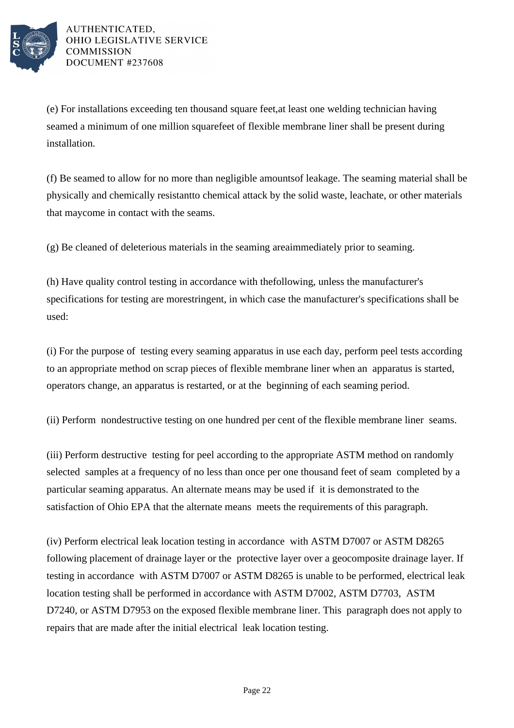

(e) For installations exceeding ten thousand square feet, at least one welding technician having seamed a minimum of one million square feet of flexible membrane liner shall be present during installation.

(f) Be seamed to allow for no more than negligible amounts of leakage. The seaming material shall be physically and chemically resistant to chemical attack by the solid waste, leachate, or other materials that may come in contact with the seams.

(g) Be cleaned of deleterious materials in the seaming area immediately prior to seaming.

(h) Have quality control testing in accordance with the following, unless the manufacturer's specifications for testing are more stringent, in which case the manufacturer's specifications shall be used:

(i) For the purpose of testing every seaming apparatus in use each day, perform peel tests according to an appropriate method on scrap pieces of flexible membrane liner when an apparatus is started, operators change, an apparatus is restarted, or at the beginning of each seaming period.

(ii) Perform nondestructive testing on one hundred per cent of the flexible membrane liner seams.

(iii) Perform destructive testing for peel according to the appropriate ASTM method on randomly selected samples at a frequency of no less than once per one thousand feet of seam completed by a particular seaming apparatus. An alternate means may be used if it is demonstrated to the satisfaction of Ohio EPA that the alternate means meets the requirements of this paragraph.

(iv) Perform electrical leak location testing in accordance with ASTM D7007 or ASTM D8265 following placement of drainage layer or the protective layer over a geocomposite drainage layer. If testing in accordance with ASTM D7007 or ASTM D8265 is unable to be performed, electrical leak location testing shall be performed in accordance with ASTM D7002, ASTM D7703, ASTM D7240, or ASTM D7953 on the exposed flexible membrane liner. This paragraph does not apply to repairs that are made after the initial electrical leak location testing.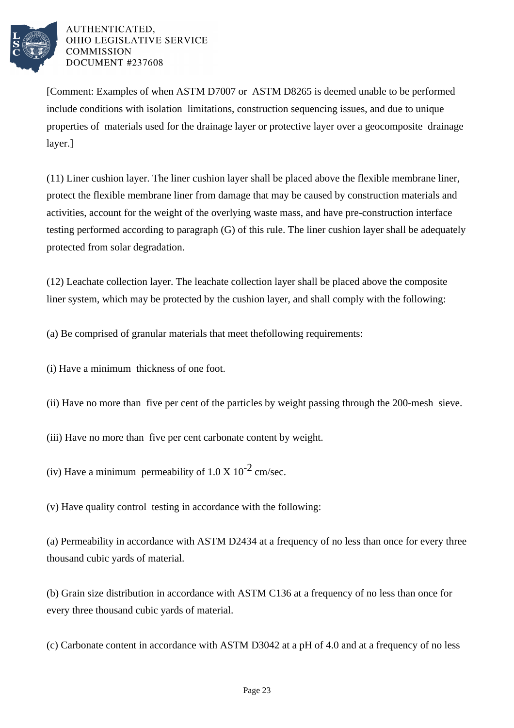

[Comment: Examples of when ASTM D7007 or ASTM D8265 is deemed unable to be performed include conditions with isolation limitations, construction sequencing issues, and due to unique properties of materials used for the drainage layer or protective layer over a geocomposite drainage layer.]

(11) Liner cushion layer. The liner cushion layer shall be placed above the flexible membrane liner, protect the flexible membrane liner from damage that may be caused by construction materials and activities, account for the weight of the overlying waste mass, and have pre-construction interface testing performed according to paragraph  $(G)$  of this rule. The liner cushion layer shall be adequately protected from solar degradation.

(12) Leachate collection layer. The leachate collection layer shall be placed above the composite liner system, which may be protected by the cushion layer, and shall comply with the following:

(a) Be comprised of granular materials that meet the following requirements:

(i) Have a minimum thickness of one foot.

(ii) Have no more than five per cent of the particles by weight passing through the 200-mesh sieve.

(iii) Have no more than five per cent carbonate content by weight.

(iv) Have a minimum permeability of  $1.0 \times 10^{-2}$  cm/sec.

(v) Have quality control testing in accordance with the following:

(a) Permeability in accordance with ASTM D2434 at a frequency of no less than once for every three thousand cubic yards of material.

(b) Grain size distribution in accordance with ASTM C136 at a frequency of no less than once for every three thousand cubic yards of material.

(c) Carbonate content in accordance with ASTM D3042 at a pH of 4.0 and at a frequency of no less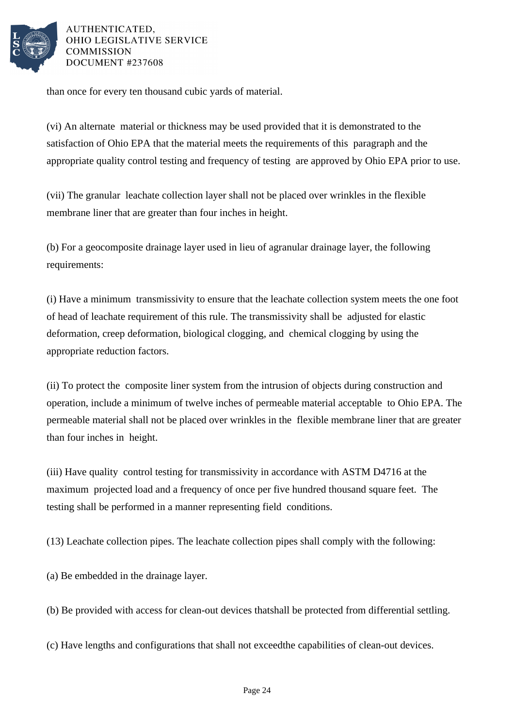

than once for every ten thousand cubic yards of material.

(vi) An alternate material or thickness may be used provided that it is demonstrated to the satisfaction of Ohio EPA that the material meets the requirements of this paragraph and the appropriate quality control testing and frequency of testing are approved by Ohio EPA prior to use.

(vii) The granular leachate collection layer shall not be placed over wrinkles in the flexible membrane liner that are greater than four inches in height.

(b) For a geocomposite drainage layer used in lieu of a granular drainage layer, the following requirements:

(i) Have a minimum transmissivity to ensure that the leachate collection system meets the one foot of head of leachate requirement of this rule. The transmissivity shall be adjusted for elastic deformation, creep deformation, biological clogging, and chemical clogging by using the appropriate reduction factors.

(ii) To protect the composite liner system from the intrusion of objects during construction and operation, include a minimum of twelve inches of permeable material acceptable to Ohio EPA. The permeable material shall not be placed over wrinkles in the flexible membrane liner that are greater than four inches in height.

(iii) Have quality control testing for transmissivity in accordance with ASTM D4716 at the maximum projected load and a frequency of once per five hundred thousand square feet. The testing shall be performed in a manner representing field conditions.

 $(13)$  Leachate collection pipes. The leachate collection pipes shall comply with the following:

(a) Be embedded in the drainage layer.

(b) Be provided with access for clean-out devices that shall be protected from differential settling.

(c) Have lengths and configurations that shall not exceed the capabilities of clean-out devices.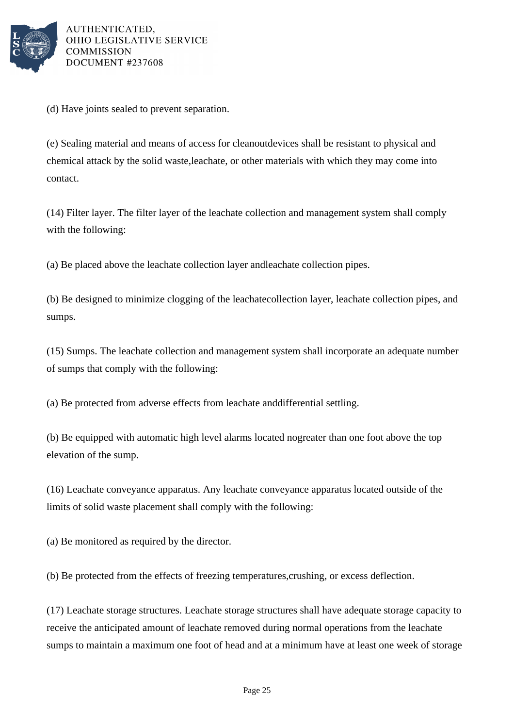

(d) Have joints sealed to prevent separation.

(e) Sealing material and means of access for cleanout devices shall be resistant to physical and chemical attack by the solid waste, leachate, or other materials with which they may come into contact.

(14) Filter layer. The filter layer of the leachate collection and management system shall comply with the following:

(a) Be placed above the leachate collection layer and leachate collection pipes.

(b) Be designed to minimize clogging of the leachate collection layer, leachate collection pipes, and sumps.

(15) Sumps. The leachate collection and management system shall incorporate an adequate number of sumps that comply with the following:

(a) Be protected from adverse effects from leachate and differential settling.

(b) Be equipped with automatic high level alarms located no greater than one foot above the top elevation of the sump.

(16) Leachate conveyance apparatus. Any leachate conveyance apparatus located outside of the limits of solid waste placement shall comply with the following:

(a) Be monitored as required by the director.

(b) Be protected from the effects of freezing temperatures, crushing, or excess deflection.

(17) Leachate storage structures. Leachate storage structures shall have adequate storage capacity to receive the anticipated amount of leachate removed during normal operations from the leachate sumps to maintain a maximum one foot of head and at a minimum have at least one week of storage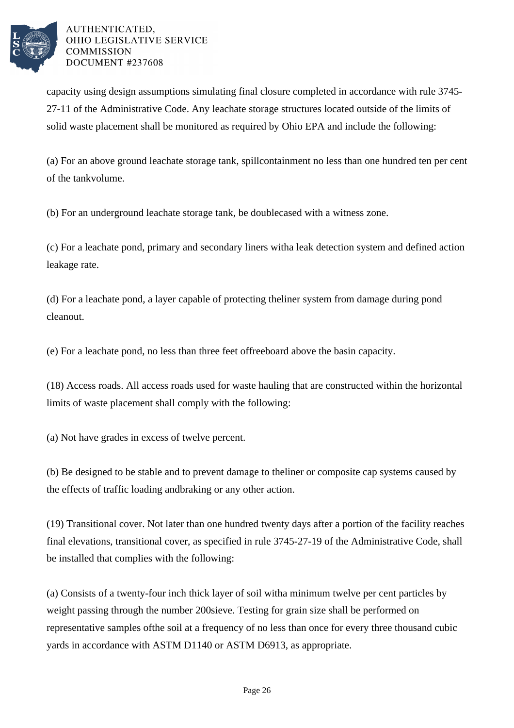

capacity using design assumptions simulating final closure completed in accordance with rule 3745-27-11 of the Administrative Code. Any leachate storage structures located outside of the limits of solid waste placement shall be monitored as required by Ohio EPA and include the following:

(a) For an above ground leachate storage tank, spill containment no less than one hundred ten per cent of the tank volume.

(b) For an underground leachate storage tank, be double cased with a witness zone.

(c) For a leachate pond, primary and secondary liners with a leak detection system and defined action leakage rate.

(d) For a leachate pond, a layer capable of protecting the liner system from damage during pond cleanout.

(e) For a leachate pond, no less than three feet of freeboard above the basin capacity.

(18) Access roads. All access roads used for waste hauling that are constructed within the horizontal limits of waste placement shall comply with the following:

(a) Not have grades in excess of twelve per cent.

(b) Be designed to be stable and to prevent damage to the liner or composite cap systems caused by the effects of traffic loading and braking or any other action.

(19) Transitional cover. Not later than one hundred twenty days after a portion of the facility reaches final elevations, transitional cover, as specified in rule 3745-27-19 of the Administrative Code, shall be installed that complies with the following:

(a) Consists of a twenty-four inch thick layer of soil with a minimum twelve per cent particles by weight passing through the number 200 sieve. Testing for grain size shall be performed on representative samples of the soil at a frequency of no less than once for every three thousand cubic yards in accordance with ASTM D1140 or ASTM D6913, as appropriate.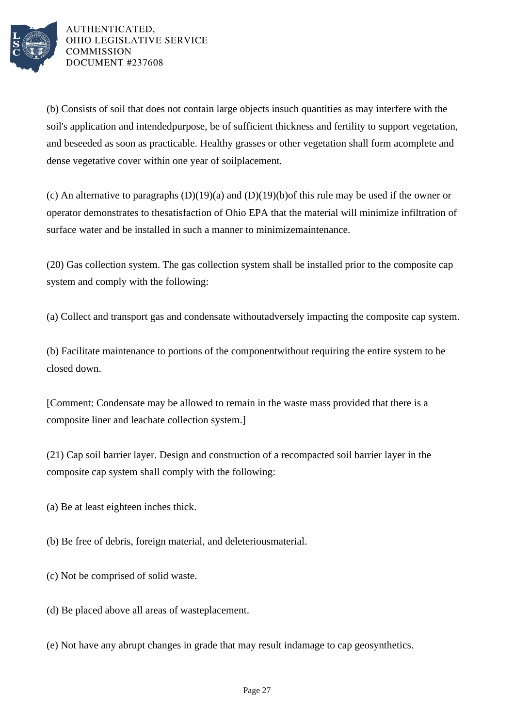

(b) Consists of soil that does not contain large objects in such quantities as may interfere with the soil's application and intended purpose, be of sufficient thickness and fertility to support vegetation, and be seeded as soon as practicable. Healthy grasses or other vegetation shall form a complete and dense vegetative cover within one year of soil placement.

(c) An alternative to paragraphs  $(D)(19)(a)$  and  $(D)(19)(b)$  of this rule may be used if the owner or operator demonstrates to the satisfaction of Ohio EPA that the material will minimize infiltration of surface water and be installed in such a manner to minimize maintenance.

(20) Gas collection system. The gas collection system shall be installed prior to the composite cap system and comply with the following:

(a) Collect and transport gas and condensate without adversely impacting the composite cap system.

(b) Facilitate maintenance to portions of the component without requiring the entire system to be closed down.

[Comment: Condensate may be allowed to remain in the waste mass provided that there is a composite liner and leachate collection system.]

(21) Cap soil barrier layer. Design and construction of a recompacted soil barrier layer in the composite cap system shall comply with the following:

(a) Be at least eighteen inches thick.

(b) Be free of debris, foreign material, and deleterious material.

(c) Not be comprised of solid waste.

- (d) Be placed above all areas of waste placement.
- (e) Not have any abrupt changes in grade that may result in damage to cap geosynthetics.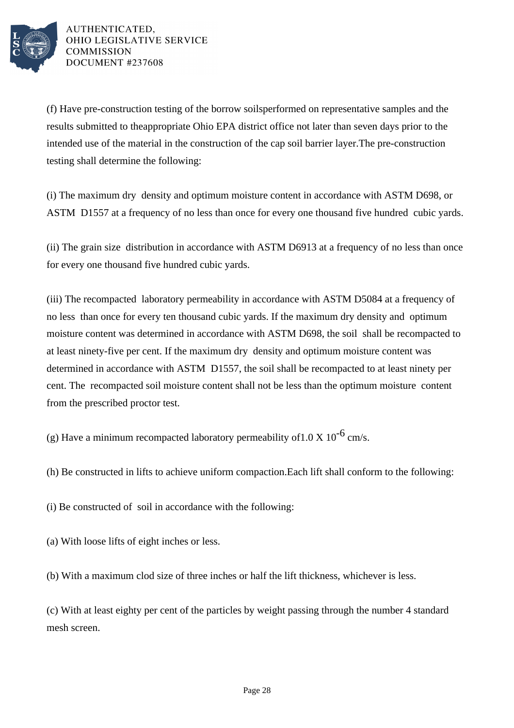

(f) Have pre-construction testing of the borrow soils performed on representative samples and the results submitted to the appropriate Ohio EPA district office not later than seven days prior to the intended use of the material in the construction of the cap soil barrier layer. The pre-construction testing shall determine the following:

(i) The maximum dry density and optimum moisture content in accordance with ASTM D698, or ASTM D1557 at a frequency of no less than once for every one thousand five hundred cubic yards.

(ii) The grain size distribution in accordance with ASTM D6913 at a frequency of no less than once for every one thousand five hundred cubic yards.

(iii) The recompacted laboratory permeability in accordance with ASTM D5084 at a frequency of no less than once for every ten thousand cubic yards. If the maximum dry density and optimum moisture content was determined in accordance with ASTM D698, the soil shall be recompacted to at least ninety-five per cent. If the maximum dry density and optimum moisture content was determined in accordance with ASTM D1557, the soil shall be recompacted to at least ninety per cent. The recompacted soil moisture content shall not be less than the optimum moisture content from the prescribed proctor test.

(g) Have a minimum recompacted laboratory permeability of  $1.0 \text{ X } 10^{-6} \text{ cm/s}.$ 

(h) Be constructed in lifts to achieve uniform compaction. Each lift shall conform to the following:

(i) Be constructed of soil in accordance with the following:

(a) With loose lifts of eight inches or less.

(b) With a maximum clod size of three inches or half the lift thickness, whichever is less.

(c) With at least eighty per cent of the particles by weight passing through the number 4 standard mesh screen.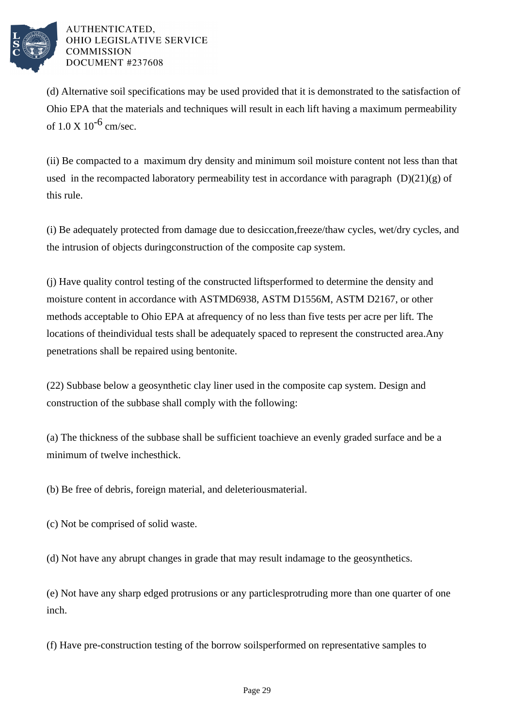

(d) Alternative soil specifications may be used provided that it is demonstrated to the satisfaction of Ohio EPA that the materials and techniques will result in each lift having a maximum permeability of  $1.0 \text{ X}$   $10^{-6}$  cm/sec.

(ii) Be compacted to a maximum dry density and minimum soil moisture content not less than that used in the recompacted laboratory permeability test in accordance with paragraph  $(D)(21)(g)$  of this rule.

(i) Be adequately protected from damage due to desiccation, freeze/thaw cycles, wet/dry cycles, and the intrusion of objects during construction of the composite cap system.

(j) Have quality control testing of the constructed lifts performed to determine the density and moisture content in accordance with ASTM D6938, ASTM D1556M, ASTM D2167, or other methods acceptable to Ohio EPA at a frequency of no less than five tests per acre per lift. The locations of the individual tests shall be adequately spaced to represent the constructed area. Any penetrations shall be repaired using bentonite.

(22) Subbase below a geosynthetic clay liner used in the composite cap system. Design and construction of the subbase shall comply with the following:

(a) The thickness of the subbase shall be sufficient to achieve an evenly graded surface and be a minimum of twelve inches thick.

(b) Be free of debris, foreign material, and deleterious material.

(c) Not be comprised of solid waste.

(d) Not have any abrupt changes in grade that may result in damage to the geosynthetics.

(e) Not have any sharp edged protrusions or any particles protruding more than one quarter of one inch.

(f) Have pre-construction testing of the borrow soils performed on representative samples to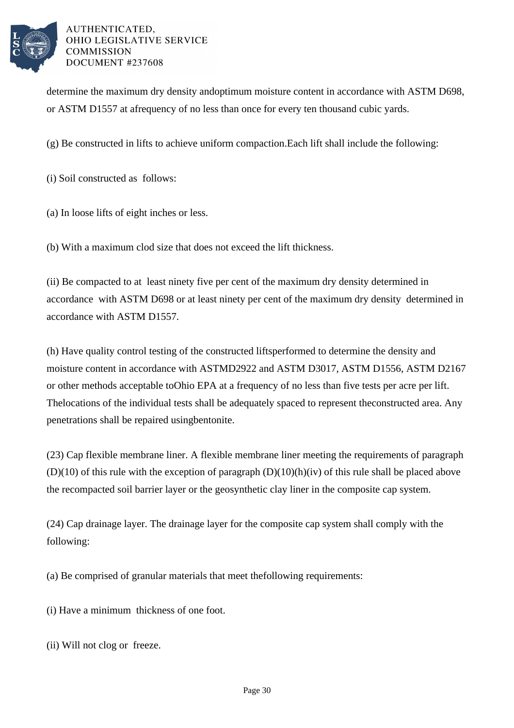

determine the maximum dry density and optimum moisture content in accordance with ASTM D698, or ASTM D1557 at a frequency of no less than once for every ten thousand cubic yards.

(g) Be constructed in lifts to achieve uniform compaction. Each lift shall include the following:

(i) Soil constructed as follows:

(a) In loose lifts of eight inches or less.

(b) With a maximum clod size that does not exceed the lift thickness.

(ii) Be compacted to at least ninety five per cent of the maximum dry density determined in accordance with ASTM D698 or at least ninety per cent of the maximum dry density determined in accordance with ASTM D1557.

(h) Have quality control testing of the constructed lifts performed to determine the density and moisture content in accordance with ASTM D2922 and ASTM D3017, ASTM D1556, ASTM D2167 or other methods acceptable to Ohio EPA at a frequency of no less than five tests per acre per lift. The locations of the individual tests shall be adequately spaced to represent the constructed area. Any penetrations shall be repaired using bentonite.

(23) Cap flexible membrane liner. A flexible membrane liner meeting the requirements of paragraph  $(D)(10)$  of this rule with the exception of paragraph  $(D)(10)(h)(iv)$  of this rule shall be placed above the recompacted soil barrier layer or the geosynthetic clay liner in the composite cap system.

(24) Cap drainage layer. The drainage layer for the composite cap system shall comply with the following:

(a) Be comprised of granular materials that meet the following requirements:

(i) Have a minimum thickness of one foot.

(ii) Will not clog or freeze.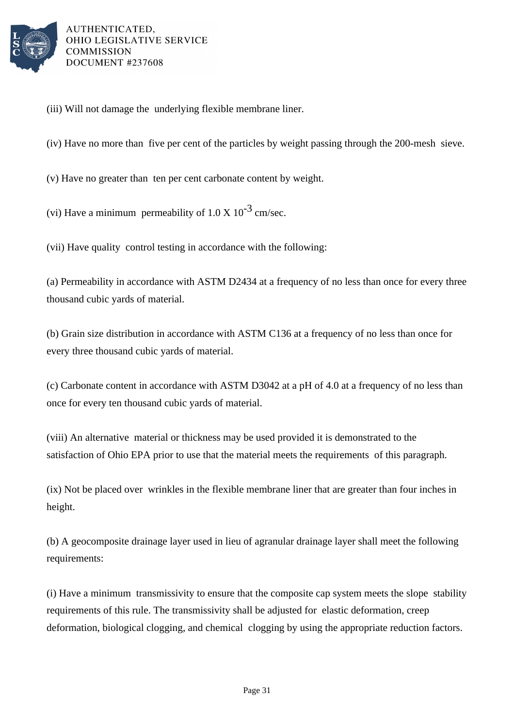

(iii) Will not damage the underlying flexible membrane liner.

(iv) Have no more than five per cent of the particles by weight passing through the 200-mesh sieve.

(v) Have no greater than ten per cent carbonate content by weight.

(vi) Have a minimum permeability of  $1.0 \times 10^{-3}$  cm/sec.

(vii) Have quality control testing in accordance with the following:

(a) Permeability in accordance with ASTM D2434 at a frequency of no less than once for every three thousand cubic yards of material.

(b) Grain size distribution in accordance with ASTM C136 at a frequency of no less than once for every three thousand cubic yards of material.

(c) Carbonate content in accordance with ASTM D3042 at a pH of 4.0 at a frequency of no less than once for every ten thousand cubic yards of material.

(viii) An alternative material or thickness may be used provided it is demonstrated to the satisfaction of Ohio EPA prior to use that the material meets the requirements of this paragraph.

(ix) Not be placed over wrinkles in the flexible membrane liner that are greater than four inches in height.

(b) A geocomposite drainage layer used in lieu of a granular drainage layer shall meet the following requirements:

(i) Have a minimum transmissivity to ensure that the composite cap system meets the slope stability requirements of this rule. The transmissivity shall be adjusted for elastic deformation, creep deformation, biological clogging, and chemical clogging by using the appropriate reduction factors.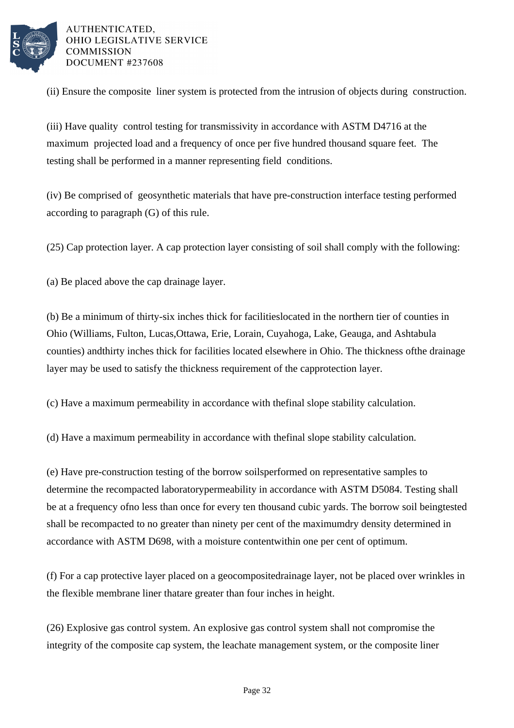

(ii) Ensure the composite liner system is protected from the intrusion of objects during construction.

(iii) Have quality control testing for transmissivity in accordance with ASTM D4716 at the maximum projected load and a frequency of once per five hundred thousand square feet. The testing shall be performed in a manner representing field conditions.

(iv) Be comprised of geosynthetic materials that have pre-construction interface testing performed according to paragraph (G) of this rule.

 $(25)$  Cap protection layer. A cap protection layer consisting of soil shall comply with the following:

(a) Be placed above the cap drainage layer.

(b) Be a minimum of thirty-six inches thick for facilities located in the northern tier of counties in Ohio (Williams, Fulton, Lucas, Ottawa, Erie, Lorain, Cuyahoga, Lake, Geauga, and Ashtabula counties) and thirty inches thick for facilities located elsewhere in Ohio. The thickness of the drainage layer may be used to satisfy the thickness requirement of the cap protection layer.

(c) Have a maximum permeability in accordance with the final slope stability calculation.

(d) Have a maximum permeability in accordance with the final slope stability calculation.

(e) Have pre-construction testing of the borrow soils performed on representative samples to determine the recompacted laboratory permeability in accordance with ASTM D5084. Testing shall be at a frequency of no less than once for every ten thousand cubic yards. The borrow soil being tested shall be recompacted to no greater than ninety per cent of the maximum dry density determined in accordance with ASTM D698, with a moisture content within one per cent of optimum.

(f) For a cap protective layer placed on a geocomposite drainage layer, not be placed over wrinkles in the flexible membrane liner that are greater than four inches in height.

(26) Explosive gas control system. An explosive gas control system shall not compromise the integrity of the composite cap system, the leachate management system, or the composite liner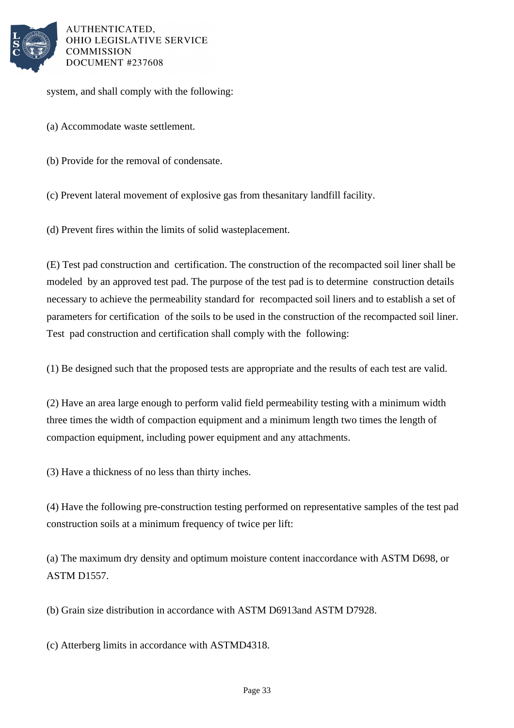

system, and shall comply with the following:

- (a) Accommodate waste settlement.
- (b) Provide for the removal of condensate.

(c) Prevent lateral movement of explosive gas from the sanitary landfill facility.

(d) Prevent fires within the limits of solid waste placement.

(E) Test pad construction and certification. The construction of the recompacted soil liner shall be modeled by an approved test pad. The purpose of the test pad is to determine construction details necessary to achieve the permeability standard for recompacted soil liners and to establish a set of parameters for certification of the soils to be used in the construction of the recompacted soil liner. Test pad construction and certification shall comply with the following:

(1) Be designed such that the proposed tests are appropriate and the results of each test are valid.

(2) Have an area large enough to perform valid field permeability testing with a minimum width three times the width of compaction equipment and a minimum length two times the length of compaction equipment, including power equipment and any attachments.

(3) Have a thickness of no less than thirty inches.

(4) Have the following pre-construction testing performed on representative samples of the test pad construction soils at a minimum frequency of twice per lift:

(a) The maximum dry density and optimum moisture content in accordance with ASTM D698, or ASTM D1557.

(b) Grain size distribution in accordance with ASTM D6913 and ASTM D7928.

(c) Atterberg limits in accordance with ASTM D4318.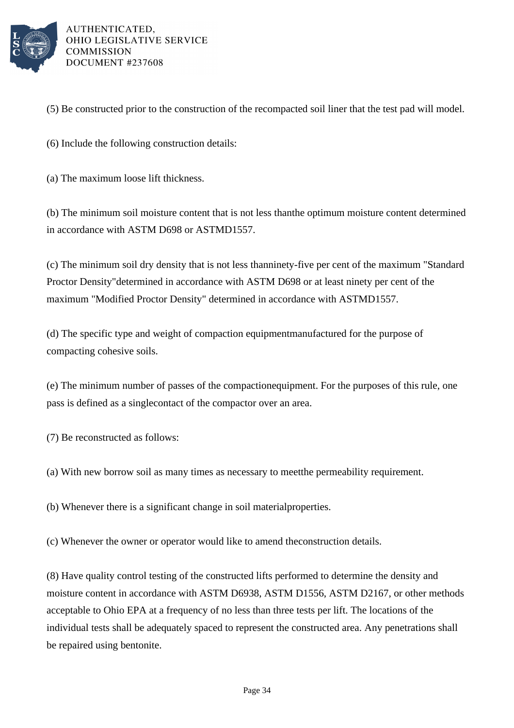

(5) Be constructed prior to the construction of the recompacted soil liner that the test pad will model.

(6) Include the following construction details:

(a) The maximum loose lift thickness.

(b) The minimum soil moisture content that is not less than the optimum moisture content determined in accordance with ASTM D698 or ASTM D1557.

(c) The minimum soil dry density that is not less than ninety-five per cent of the maximum "Standard Proctor Density" determined in accordance with ASTM D698 or at least ninety per cent of the maximum "Modified Proctor Density" determined in accordance with ASTM D1557.

(d) The specific type and weight of compaction equipment manufactured for the purpose of compacting cohesive soils.

(e) The minimum number of passes of the compaction equipment. For the purposes of this rule, one pass is defined as a single contact of the compactor over an area.

(7) Be reconstructed as follows:

(a) With new borrow soil as many times as necessary to meet the permeability requirement.

(b) Whenever there is a significant change in soil material properties.

(c) Whenever the owner or operator would like to amend the construction details.

(8) Have quality control testing of the constructed lifts performed to determine the density and moisture content in accordance with ASTM D6938, ASTM D1556, ASTM D2167, or other methods acceptable to Ohio EPA at a frequency of no less than three tests per lift. The locations of the individual tests shall be adequately spaced to represent the constructed area. Any penetrations shall be repaired using bentonite.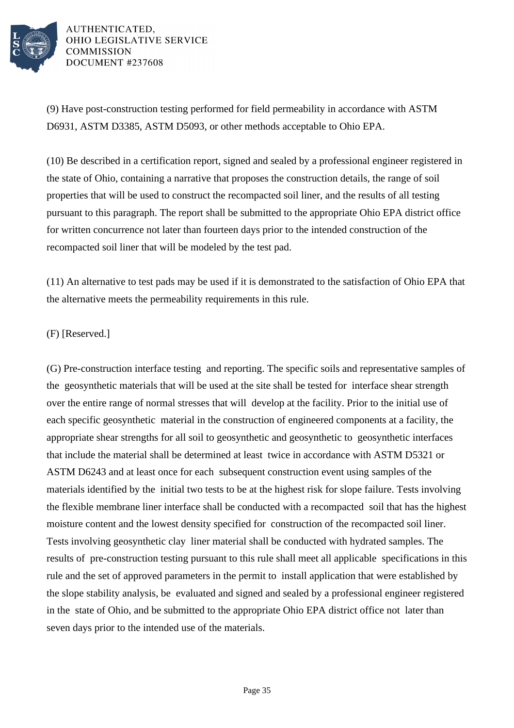

(9) Have post-construction testing performed for field permeability in accordance with ASTM D6931, ASTM D3385, ASTM D5093, or other methods acceptable to Ohio EPA.

(10) Be described in a certification report, signed and sealed by a professional engineer registered in the state of Ohio, containing a narrative that proposes the construction details, the range of soil properties that will be used to construct the recompacted soil liner, and the results of all testing pursuant to this paragraph. The report shall be submitted to the appropriate Ohio EPA district office for written concurrence not later than fourteen days prior to the intended construction of the recompacted soil liner that will be modeled by the test pad.

 $(11)$  An alternative to test pads may be used if it is demonstrated to the satisfaction of Ohio EPA that the alternative meets the permeability requirements in this rule.

# (F) [Reserved.]

(G) Pre-construction interface testing and reporting. The specific soils and representative samples of the geosynthetic materials that will be used at the site shall be tested for interface shear strength over the entire range of normal stresses that will develop at the facility. Prior to the initial use of each specific geosynthetic material in the construction of engineered components at a facility, the appropriate shear strengths for all soil to geosynthetic and geosynthetic to geosynthetic interfaces that include the material shall be determined at least twice in accordance with ASTM D5321 or ASTM D6243 and at least once for each subsequent construction event using samples of the materials identified by the initial two tests to be at the highest risk for slope failure. Tests involving the flexible membrane liner interface shall be conducted with a recompacted soil that has the highest moisture content and the lowest density specified for construction of the recompacted soil liner. Tests involving geosynthetic clay liner material shall be conducted with hydrated samples. The results of pre-construction testing pursuant to this rule shall meet all applicable specifications in this rule and the set of approved parameters in the permit to install application that were established by the slope stability analysis, be evaluated and signed and sealed by a professional engineer registered in the state of Ohio, and be submitted to the appropriate Ohio EPA district office not later than seven days prior to the intended use of the materials.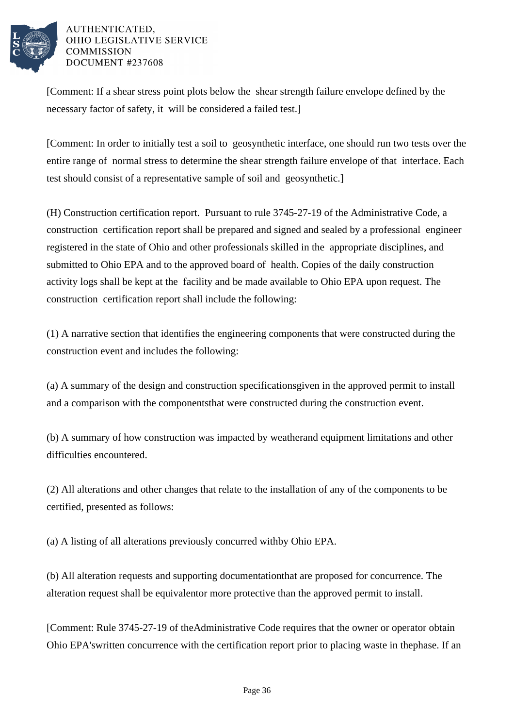

[Comment: If a shear stress point plots below the shear strength failure envelope defined by the necessary factor of safety, it will be considered a failed test.]

[Comment: In order to initially test a soil to geosynthetic interface, one should run two tests over the entire range of normal stress to determine the shear strength failure envelope of that interface. Each test should consist of a representative sample of soil and geosynthetic.]

(H) Construction certification report. Pursuant to rule 3745-27-19 of the Administrative Code, a construction certification report shall be prepared and signed and sealed by a professional engineer registered in the state of Ohio and other professionals skilled in the appropriate disciplines, and submitted to Ohio EPA and to the approved board of health. Copies of the daily construction activity logs shall be kept at the facility and be made available to Ohio EPA upon request. The construction certification report shall include the following:

(1) A narrative section that identifies the engineering components that were constructed during the construction event and includes the following:

(a) A summary of the design and construction specifications given in the approved permit to install and a comparison with the components that were constructed during the construction event.

(b) A summary of how construction was impacted by weather and equipment limitations and other difficulties encountered.

(2) All alterations and other changes that relate to the installation of any of the components to be certified, presented as follows:

(a) A listing of all alterations previously concurred with by Ohio EPA.

(b) All alteration requests and supporting documentation that are proposed for concurrence. The alteration request shall be equivalent or more protective than the approved permit to install.

[Comment: Rule 3745-27-19 of the Administrative Code requires that the owner or operator obtain Ohio EPA's written concurrence with the certification report prior to placing waste in the phase. If an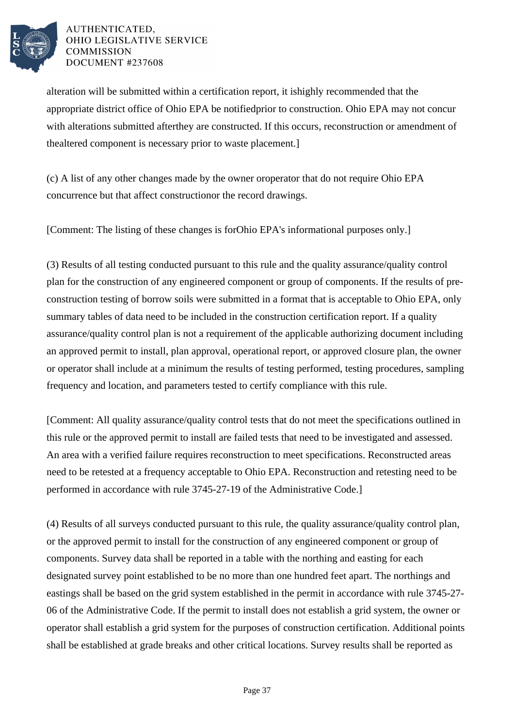

alteration will be submitted within a certification report, it is highly recommended that the appropriate district office of Ohio EPA be notified prior to construction. Ohio EPA may not concur with alterations submitted after they are constructed. If this occurs, reconstruction or amendment of the altered component is necessary prior to waste placement.]

(c) A list of any other changes made by the owner or operator that do not require Ohio EPA concurrence but that affect construction or the record drawings.

[Comment: The listing of these changes is for Ohio EPA's informational purposes only.]

(3) Results of all testing conducted pursuant to this rule and the quality assurance/quality control plan for the construction of any engineered component or group of components. If the results of preconstruction testing of borrow soils were submitted in a format that is acceptable to Ohio EPA, only summary tables of data need to be included in the construction certification report. If a quality assurance/quality control plan is not a requirement of the applicable authorizing document including an approved permit to install, plan approval, operational report, or approved closure plan, the owner or operator shall include at a minimum the results of testing performed, testing procedures, sampling frequency and location, and parameters tested to certify compliance with this rule.

[Comment: All quality assurance/quality control tests that do not meet the specifications outlined in this rule or the approved permit to install are failed tests that need to be investigated and assessed. An area with a verified failure requires reconstruction to meet specifications. Reconstructed areas need to be retested at a frequency acceptable to Ohio EPA. Reconstruction and retesting need to be performed in accordance with rule 3745-27-19 of the Administrative Code.

(4) Results of all surveys conducted pursuant to this rule, the quality assurance/quality control plan, or the approved permit to install for the construction of any engineered component or group of components. Survey data shall be reported in a table with the northing and easting for each designated survey point established to be no more than one hundred feet apart. The northings and eastings shall be based on the grid system established in the permit in accordance with rule 3745-27-06 of the Administrative Code. If the permit to install does not establish a grid system, the owner or operator shall establish a grid system for the purposes of construction certification. Additional points shall be established at grade breaks and other critical locations. Survey results shall be reported as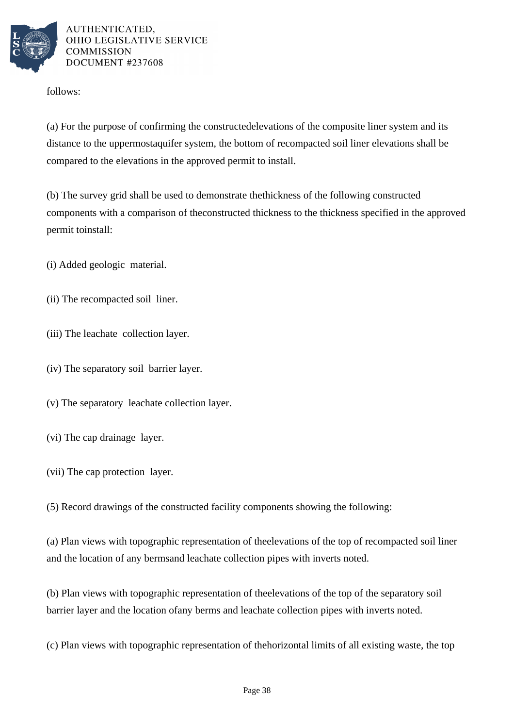

follows:

(a) For the purpose of confirming the constructed elevations of the composite liner system and its distance to the uppermost aquifer system, the bottom of recompacted soil liner elevations shall be compared to the elevations in the approved permit to install.

(b) The survey grid shall be used to demonstrate the thickness of the following constructed components with a comparison of the constructed thickness to the thickness specified in the approved permit to install:

(i) Added geologic material.

(ii) The recompacted soil liner.

(iii) The leachate collection layer.

(iv) The separatory soil barrier layer.

(v) The separatory leachate collection layer.

(vi) The cap drainage layer.

(vii) The cap protection layer.

(5) Record drawings of the constructed facility components showing the following:

(a) Plan views with topographic representation of the elevations of the top of recompacted soil liner and the location of any berms and leachate collection pipes with inverts noted.

(b) Plan views with topographic representation of the elevations of the top of the separatory soil barrier layer and the location of any berms and leachate collection pipes with inverts noted.

(c) Plan views with topographic representation of the horizontal limits of all existing waste, the top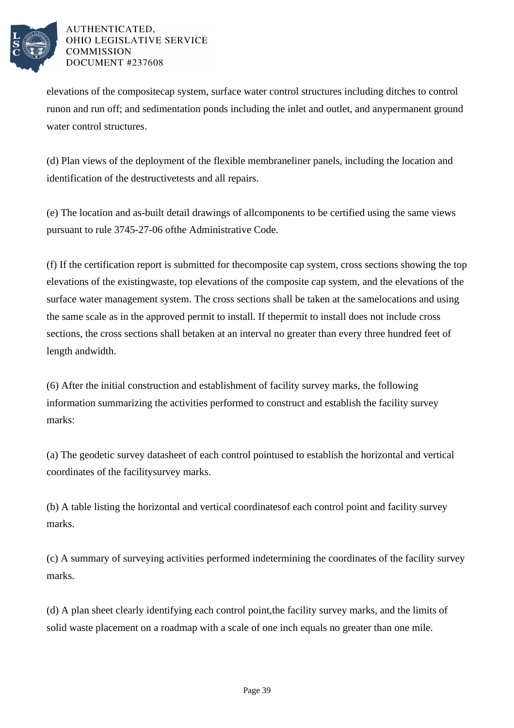

elevations of the composite cap system, surface water control structures including ditches to control run on and run off; and sedimentation ponds including the inlet and outlet, and any permanent ground water control structures.

(d) Plan views of the deployment of the flexible membrane liner panels, including the location and identification of the destructive tests and all repairs.

(e) The location and as-built detail drawings of all components to be certified using the same views pursuant to rule 3745-27-06 of the Administrative Code.

(f) If the certification report is submitted for the composite cap system, cross sections showing the top elevations of the existing waste, top elevations of the composite cap system, and the elevations of the surface water management system. The cross sections shall be taken at the same locations and using the same scale as in the approved permit to install. If the permit to install does not include cross sections, the cross sections shall be taken at an interval no greater than every three hundred feet of length and width.

(6) After the initial construction and establishment of facility survey marks, the following information summarizing the activities performed to construct and establish the facility survey marks:

(a) The geodetic survey datasheet of each control point used to establish the horizontal and vertical coordinates of the facility survey marks.

(b) A table listing the horizontal and vertical coordinates of each control point and facility survey marks.

(c) A summary of surveying activities performed in determining the coordinates of the facility survey marks.

(d) A plan sheet clearly identifying each control point, the facility survey marks, and the limits of solid waste placement on a road map with a scale of one inch equals no greater than one mile.